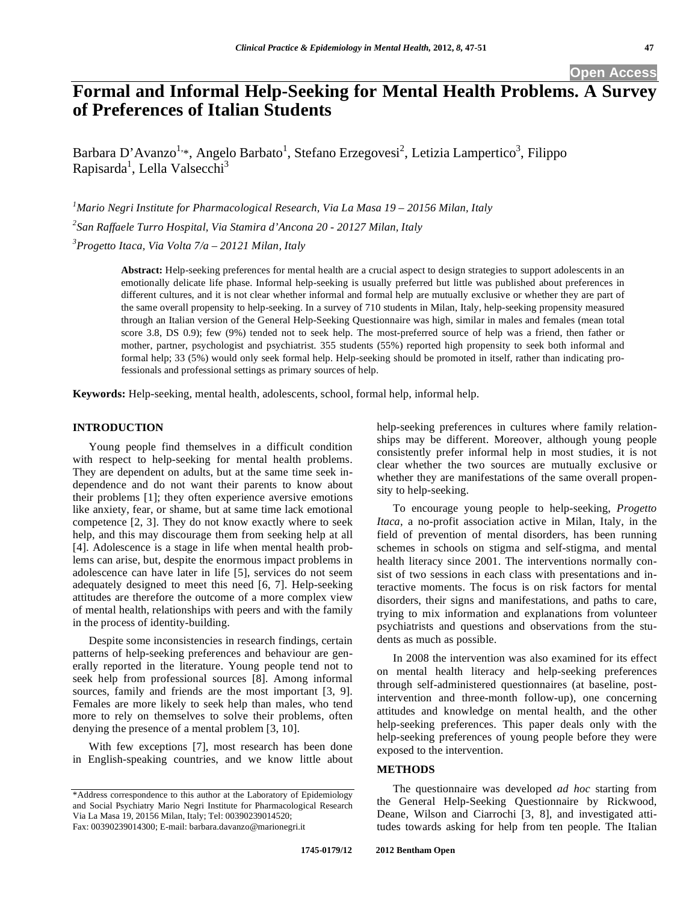## **Open Access**

# **Formal and Informal Help-Seeking for Mental Health Problems. A Survey of Preferences of Italian Students**

Barbara D'Avanzo<sup>1,\*</sup>, Angelo Barbato<sup>1</sup>, Stefano Erzegovesi<sup>2</sup>, Letizia Lampertico<sup>3</sup>, Filippo Rapisarda<sup>1</sup>, Lella Valsecchi<sup>3</sup>

*1 Mario Negri Institute for Pharmacological Research, Via La Masa 19 – 20156 Milan, Italy 2 San Raffaele Turro Hospital, Via Stamira d'Ancona 20 - 20127 Milan, Italy 3 Progetto Itaca, Via Volta 7/a – 20121 Milan, Italy* 

> **Abstract:** Help-seeking preferences for mental health are a crucial aspect to design strategies to support adolescents in an emotionally delicate life phase. Informal help-seeking is usually preferred but little was published about preferences in different cultures, and it is not clear whether informal and formal help are mutually exclusive or whether they are part of the same overall propensity to help-seeking. In a survey of 710 students in Milan, Italy, help-seeking propensity measured through an Italian version of the General Help-Seeking Questionnaire was high, similar in males and females (mean total score 3.8, DS 0.9); few (9%) tended not to seek help. The most-preferred source of help was a friend, then father or mother, partner, psychologist and psychiatrist. 355 students (55%) reported high propensity to seek both informal and formal help; 33 (5%) would only seek formal help. Help-seeking should be promoted in itself, rather than indicating professionals and professional settings as primary sources of help.

**Keywords:** Help-seeking, mental health, adolescents, school, formal help, informal help.

## **INTRODUCTION**

Young people find themselves in a difficult condition with respect to help-seeking for mental health problems. They are dependent on adults, but at the same time seek independence and do not want their parents to know about their problems [1]; they often experience aversive emotions like anxiety, fear, or shame, but at same time lack emotional competence [2, 3]. They do not know exactly where to seek help, and this may discourage them from seeking help at all [4]. Adolescence is a stage in life when mental health problems can arise, but, despite the enormous impact problems in adolescence can have later in life [5], services do not seem adequately designed to meet this need [6, 7]. Help-seeking attitudes are therefore the outcome of a more complex view of mental health, relationships with peers and with the family in the process of identity-building.

Despite some inconsistencies in research findings, certain patterns of help-seeking preferences and behaviour are generally reported in the literature. Young people tend not to seek help from professional sources [8]. Among informal sources, family and friends are the most important [3, 9]. Females are more likely to seek help than males, who tend more to rely on themselves to solve their problems, often denying the presence of a mental problem [3, 10].

With few exceptions [7], most research has been done in English-speaking countries, and we know little about help-seeking preferences in cultures where family relationships may be different. Moreover, although young people consistently prefer informal help in most studies, it is not clear whether the two sources are mutually exclusive or whether they are manifestations of the same overall propensity to help-seeking.

To encourage young people to help-seeking, *Progetto Itaca*, a no-profit association active in Milan, Italy, in the field of prevention of mental disorders, has been running schemes in schools on stigma and self-stigma, and mental health literacy since 2001. The interventions normally consist of two sessions in each class with presentations and interactive moments. The focus is on risk factors for mental disorders, their signs and manifestations, and paths to care, trying to mix information and explanations from volunteer psychiatrists and questions and observations from the students as much as possible.

In 2008 the intervention was also examined for its effect on mental health literacy and help-seeking preferences through self-administered questionnaires (at baseline, postintervention and three-month follow-up), one concerning attitudes and knowledge on mental health, and the other help-seeking preferences. This paper deals only with the help-seeking preferences of young people before they were exposed to the intervention.

## **METHODS**

The questionnaire was developed *ad hoc* starting from the General Help-Seeking Questionnaire by Rickwood, Deane, Wilson and Ciarrochi [3, 8], and investigated attitudes towards asking for help from ten people. The Italian

<sup>\*</sup>Address correspondence to this author at the Laboratory of Epidemiology and Social Psychiatry Mario Negri Institute for Pharmacological Research Via La Masa 19, 20156 Milan, Italy; Tel: 00390239014520; Fax: 00390239014300; E-mail: barbara.davanzo@marionegri.it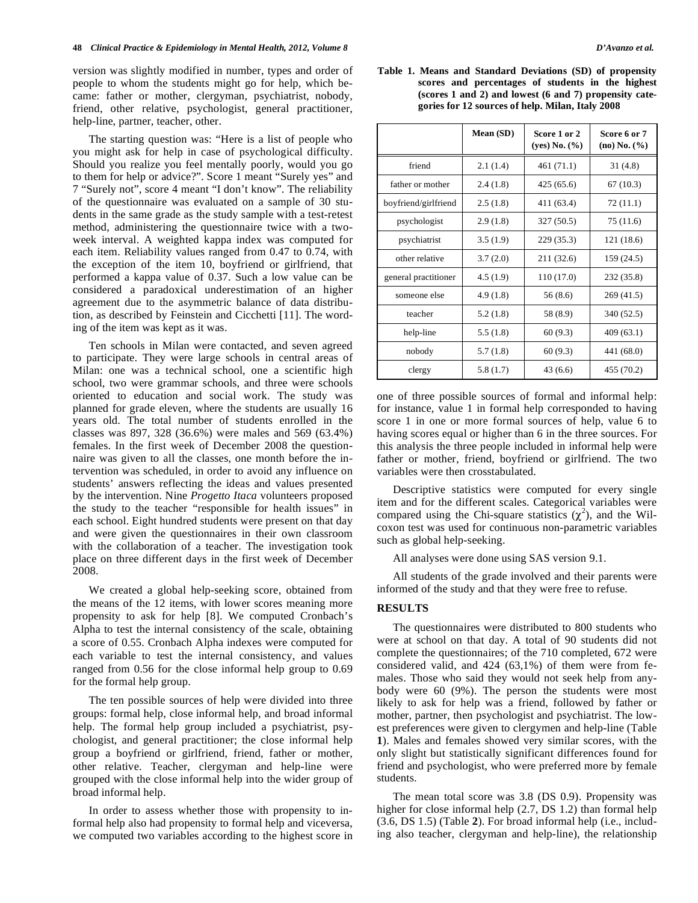version was slightly modified in number, types and order of people to whom the students might go for help, which became: father or mother, clergyman, psychiatrist, nobody, friend, other relative, psychologist, general practitioner, help-line, partner, teacher, other.

The starting question was: "Here is a list of people who you might ask for help in case of psychological difficulty. Should you realize you feel mentally poorly, would you go to them for help or advice?". Score 1 meant "Surely yes" and 7 "Surely not", score 4 meant "I don't know". The reliability of the questionnaire was evaluated on a sample of 30 students in the same grade as the study sample with a test-retest method, administering the questionnaire twice with a twoweek interval. A weighted kappa index was computed for each item. Reliability values ranged from 0.47 to 0.74, with the exception of the item 10, boyfriend or girlfriend, that performed a kappa value of 0.37. Such a low value can be considered a paradoxical underestimation of an higher agreement due to the asymmetric balance of data distribution, as described by Feinstein and Cicchetti [11]. The wording of the item was kept as it was.

Ten schools in Milan were contacted, and seven agreed to participate. They were large schools in central areas of Milan: one was a technical school, one a scientific high school, two were grammar schools, and three were schools oriented to education and social work. The study was planned for grade eleven, where the students are usually 16 years old. The total number of students enrolled in the classes was 897, 328 (36.6%) were males and 569 (63.4%) females. In the first week of December 2008 the questionnaire was given to all the classes, one month before the intervention was scheduled, in order to avoid any influence on students' answers reflecting the ideas and values presented by the intervention. Nine *Progetto Itaca* volunteers proposed the study to the teacher "responsible for health issues" in each school. Eight hundred students were present on that day and were given the questionnaires in their own classroom with the collaboration of a teacher. The investigation took place on three different days in the first week of December 2008.

We created a global help-seeking score, obtained from the means of the 12 items, with lower scores meaning more propensity to ask for help [8]. We computed Cronbach's Alpha to test the internal consistency of the scale, obtaining a score of 0.55. Cronbach Alpha indexes were computed for each variable to test the internal consistency, and values ranged from 0.56 for the close informal help group to 0.69 for the formal help group.

The ten possible sources of help were divided into three groups: formal help, close informal help, and broad informal help. The formal help group included a psychiatrist, psychologist, and general practitioner; the close informal help group a boyfriend or girlfriend, friend, father or mother, other relative. Teacher, clergyman and help-line were grouped with the close informal help into the wider group of broad informal help.

In order to assess whether those with propensity to informal help also had propensity to formal help and viceversa, we computed two variables according to the highest score in

**Table 1. Means and Standard Deviations (SD) of propensity scores and percentages of students in the highest (scores 1 and 2) and lowest (6 and 7) propensity categories for 12 sources of help. Milan, Italy 2008** 

|                      | Mean (SD) | Score 1 or 2<br>(yes) No. (%) | Score 6 or 7<br>(no) No. (%) |
|----------------------|-----------|-------------------------------|------------------------------|
| friend               | 2.1(1.4)  | 461 (71.1)                    | 31(4.8)                      |
| father or mother     | 2.4(1.8)  | 425 (65.6)                    | 67(10.3)                     |
| boyfriend/girlfriend | 2.5(1.8)  | 411 (63.4)                    | 72 (11.1)                    |
| psychologist         | 2.9(1.8)  | 327 (50.5)                    | 75 (11.6)                    |
| psychiatrist         | 3.5(1.9)  | 229 (35.3)                    | 121 (18.6)                   |
| other relative       | 3.7(2.0)  | 211 (32.6)                    | 159 (24.5)                   |
| general practitioner | 4.5(1.9)  | 110 (17.0)                    | 232 (35.8)                   |
| someone else         | 4.9(1.8)  | 56 (8.6)                      | 269 (41.5)                   |
| teacher              | 5.2(1.8)  | 58 (8.9)                      | 340 (52.5)                   |
| help-line            | 5.5(1.8)  | 60(9.3)                       | 409 (63.1)                   |
| nobody               | 5.7(1.8)  | 60(9.3)                       | 441 (68.0)                   |
| clergy               | 5.8(1.7)  | 43(6.6)                       | 455 (70.2)                   |

one of three possible sources of formal and informal help: for instance, value 1 in formal help corresponded to having score 1 in one or more formal sources of help, value 6 to having scores equal or higher than 6 in the three sources. For this analysis the three people included in informal help were father or mother, friend, boyfriend or girlfriend. The two variables were then crosstabulated.

Descriptive statistics were computed for every single item and for the different scales. Categorical variables were compared using the Chi-square statistics  $(\chi^2)$ , and the Wilcoxon test was used for continuous non-parametric variables such as global help-seeking.

All analyses were done using SAS version 9.1.

All students of the grade involved and their parents were informed of the study and that they were free to refuse.

#### **RESULTS**

The questionnaires were distributed to 800 students who were at school on that day. A total of 90 students did not complete the questionnaires; of the 710 completed, 672 were considered valid, and 424 (63,1%) of them were from females. Those who said they would not seek help from anybody were 60 (9%). The person the students were most likely to ask for help was a friend, followed by father or mother, partner, then psychologist and psychiatrist. The lowest preferences were given to clergymen and help-line (Table **1**). Males and females showed very similar scores, with the only slight but statistically significant differences found for friend and psychologist, who were preferred more by female students.

The mean total score was 3.8 (DS 0.9). Propensity was higher for close informal help  $(2.7, DS 1.2)$  than formal help (3.6, DS 1.5) (Table **2**). For broad informal help (i.e., including also teacher, clergyman and help-line), the relationship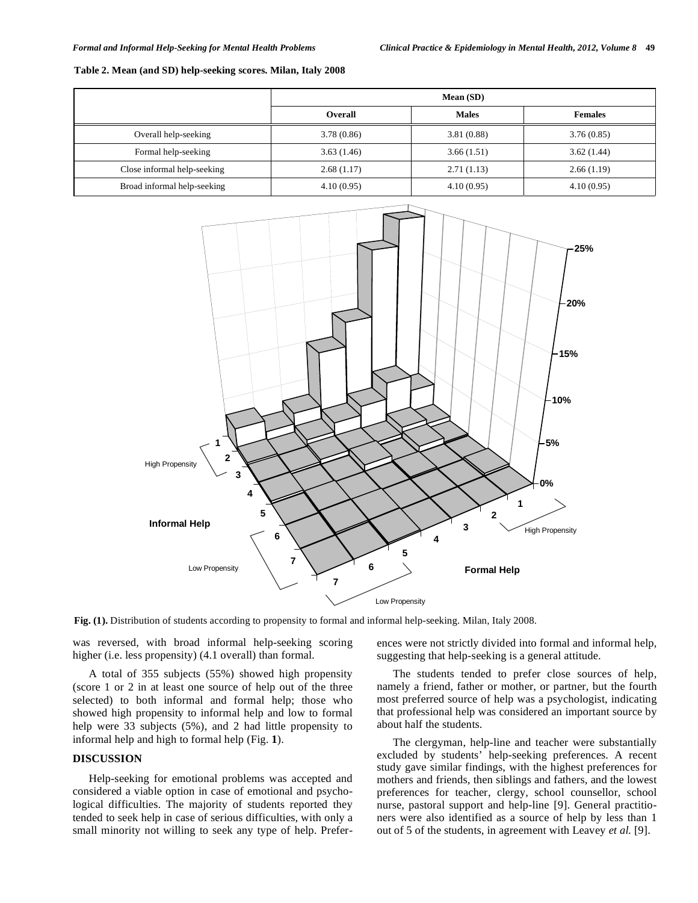#### **Table 2. Mean (and SD) help-seeking scores. Milan, Italy 2008**

|                             | Mean (SD)  |              |                |
|-----------------------------|------------|--------------|----------------|
|                             | Overall    | <b>Males</b> | <b>Females</b> |
| Overall help-seeking        | 3.78(0.86) | 3.81(0.88)   | 3.76(0.85)     |
| Formal help-seeking         | 3.63(1.46) | 3.66(1.51)   | 3.62(1.44)     |
| Close informal help-seeking | 2.68(1.17) | 2.71(1.13)   | 2.66(1.19)     |
| Broad informal help-seeking | 4.10(0.95) | 4.10(0.95)   | 4.10(0.95)     |



**Fig. (1).** Distribution of students according to propensity to formal and informal help-seeking. Milan, Italy 2008.

was reversed, with broad informal help-seeking scoring higher (i.e. less propensity) (4.1 overall) than formal.

A total of 355 subjects (55%) showed high propensity (score 1 or 2 in at least one source of help out of the three selected) to both informal and formal help; those who showed high propensity to informal help and low to formal help were 33 subjects (5%), and 2 had little propensity to informal help and high to formal help (Fig. **1**).

## **DISCUSSION**

Help-seeking for emotional problems was accepted and considered a viable option in case of emotional and psychological difficulties. The majority of students reported they tended to seek help in case of serious difficulties, with only a small minority not willing to seek any type of help. Preferences were not strictly divided into formal and informal help, suggesting that help-seeking is a general attitude.

The students tended to prefer close sources of help, namely a friend, father or mother, or partner, but the fourth most preferred source of help was a psychologist, indicating that professional help was considered an important source by about half the students.

The clergyman, help-line and teacher were substantially excluded by students' help-seeking preferences. A recent study gave similar findings, with the highest preferences for mothers and friends, then siblings and fathers, and the lowest preferences for teacher, clergy, school counsellor, school nurse, pastoral support and help-line [9]. General practitioners were also identified as a source of help by less than 1 out of 5 of the students, in agreement with Leavey *et al.* [9].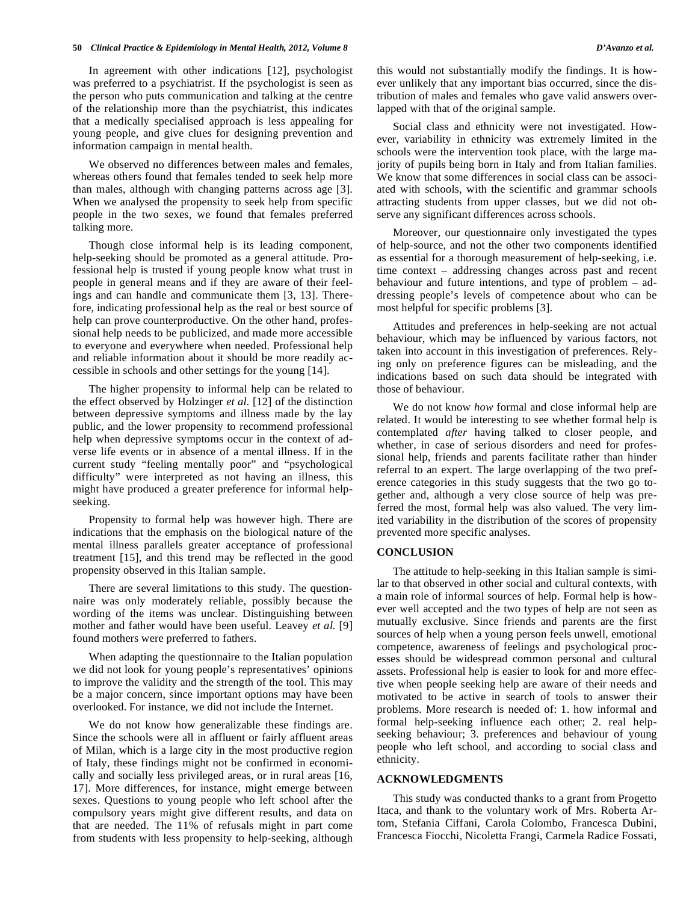#### **50** *Clinical Practice & Epidemiology in Mental Health, 2012, Volume 8 D'Avanzo et al.*

In agreement with other indications [12], psychologist was preferred to a psychiatrist. If the psychologist is seen as the person who puts communication and talking at the centre of the relationship more than the psychiatrist, this indicates that a medically specialised approach is less appealing for young people, and give clues for designing prevention and information campaign in mental health.

We observed no differences between males and females, whereas others found that females tended to seek help more than males, although with changing patterns across age [3]. When we analysed the propensity to seek help from specific people in the two sexes, we found that females preferred talking more.

Though close informal help is its leading component, help-seeking should be promoted as a general attitude. Professional help is trusted if young people know what trust in people in general means and if they are aware of their feelings and can handle and communicate them [3, 13]. Therefore, indicating professional help as the real or best source of help can prove counterproductive. On the other hand, professional help needs to be publicized, and made more accessible to everyone and everywhere when needed. Professional help and reliable information about it should be more readily accessible in schools and other settings for the young [14].

The higher propensity to informal help can be related to the effect observed by Holzinger *et al.* [12] of the distinction between depressive symptoms and illness made by the lay public, and the lower propensity to recommend professional help when depressive symptoms occur in the context of adverse life events or in absence of a mental illness. If in the current study "feeling mentally poor" and "psychological difficulty" were interpreted as not having an illness, this might have produced a greater preference for informal helpseeking.

Propensity to formal help was however high. There are indications that the emphasis on the biological nature of the mental illness parallels greater acceptance of professional treatment [15], and this trend may be reflected in the good propensity observed in this Italian sample.

There are several limitations to this study. The questionnaire was only moderately reliable, possibly because the wording of the items was unclear. Distinguishing between mother and father would have been useful. Leavey *et al.* [9] found mothers were preferred to fathers.

When adapting the questionnaire to the Italian population we did not look for young people's representatives' opinions to improve the validity and the strength of the tool. This may be a major concern, since important options may have been overlooked. For instance, we did not include the Internet.

We do not know how generalizable these findings are. Since the schools were all in affluent or fairly affluent areas of Milan, which is a large city in the most productive region of Italy, these findings might not be confirmed in economically and socially less privileged areas, or in rural areas [16, 17]. More differences, for instance, might emerge between sexes. Questions to young people who left school after the compulsory years might give different results, and data on that are needed. The 11% of refusals might in part come from students with less propensity to help-seeking, although this would not substantially modify the findings. It is however unlikely that any important bias occurred, since the distribution of males and females who gave valid answers overlapped with that of the original sample.

Social class and ethnicity were not investigated. However, variability in ethnicity was extremely limited in the schools were the intervention took place, with the large majority of pupils being born in Italy and from Italian families. We know that some differences in social class can be associated with schools, with the scientific and grammar schools attracting students from upper classes, but we did not observe any significant differences across schools.

Moreover, our questionnaire only investigated the types of help-source, and not the other two components identified as essential for a thorough measurement of help-seeking, i.e. time context – addressing changes across past and recent behaviour and future intentions, and type of problem – addressing people's levels of competence about who can be most helpful for specific problems [3].

Attitudes and preferences in help-seeking are not actual behaviour, which may be influenced by various factors, not taken into account in this investigation of preferences. Relying only on preference figures can be misleading, and the indications based on such data should be integrated with those of behaviour.

We do not know *how* formal and close informal help are related. It would be interesting to see whether formal help is contemplated *after* having talked to closer people, and whether, in case of serious disorders and need for professional help, friends and parents facilitate rather than hinder referral to an expert. The large overlapping of the two preference categories in this study suggests that the two go together and, although a very close source of help was preferred the most, formal help was also valued. The very limited variability in the distribution of the scores of propensity prevented more specific analyses.

#### **CONCLUSION**

The attitude to help-seeking in this Italian sample is similar to that observed in other social and cultural contexts, with a main role of informal sources of help. Formal help is however well accepted and the two types of help are not seen as mutually exclusive. Since friends and parents are the first sources of help when a young person feels unwell, emotional competence, awareness of feelings and psychological processes should be widespread common personal and cultural assets. Professional help is easier to look for and more effective when people seeking help are aware of their needs and motivated to be active in search of tools to answer their problems. More research is needed of: 1. how informal and formal help-seeking influence each other; 2. real helpseeking behaviour; 3. preferences and behaviour of young people who left school, and according to social class and ethnicity.

### **ACKNOWLEDGMENTS**

This study was conducted thanks to a grant from Progetto Itaca, and thank to the voluntary work of Mrs. Roberta Artom, Stefania Ciffani, Carola Colombo, Francesca Dubini, Francesca Fiocchi, Nicoletta Frangi, Carmela Radice Fossati,